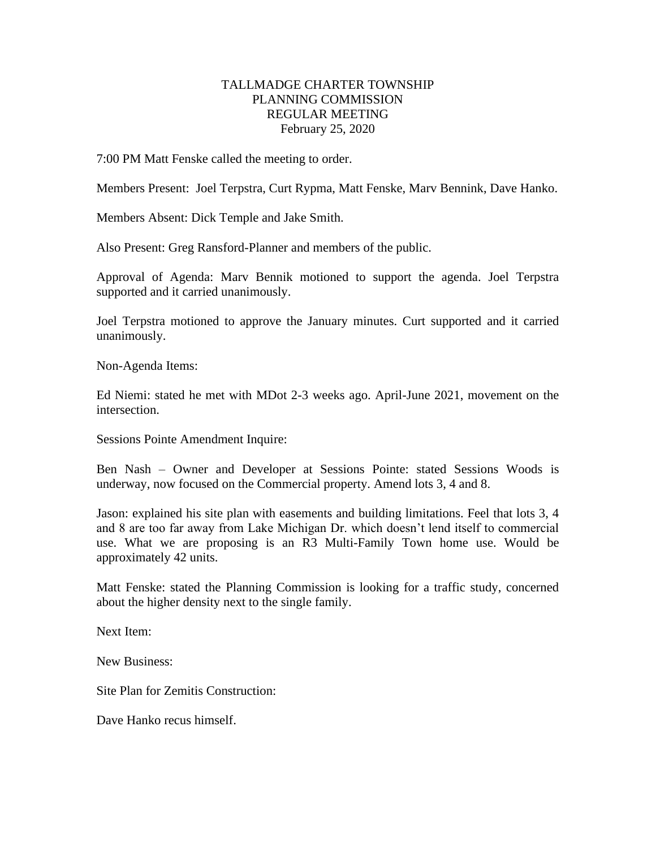## TALLMADGE CHARTER TOWNSHIP PLANNING COMMISSION REGULAR MEETING February 25, 2020

7:00 PM Matt Fenske called the meeting to order.

Members Present: Joel Terpstra, Curt Rypma, Matt Fenske, Marv Bennink, Dave Hanko.

Members Absent: Dick Temple and Jake Smith.

Also Present: Greg Ransford-Planner and members of the public.

Approval of Agenda: Marv Bennik motioned to support the agenda. Joel Terpstra supported and it carried unanimously.

Joel Terpstra motioned to approve the January minutes. Curt supported and it carried unanimously.

Non-Agenda Items:

Ed Niemi: stated he met with MDot 2-3 weeks ago. April-June 2021, movement on the intersection.

Sessions Pointe Amendment Inquire:

Ben Nash – Owner and Developer at Sessions Pointe: stated Sessions Woods is underway, now focused on the Commercial property. Amend lots 3, 4 and 8.

Jason: explained his site plan with easements and building limitations. Feel that lots 3, 4 and 8 are too far away from Lake Michigan Dr. which doesn't lend itself to commercial use. What we are proposing is an R3 Multi-Family Town home use. Would be approximately 42 units.

Matt Fenske: stated the Planning Commission is looking for a traffic study, concerned about the higher density next to the single family.

Next Item:

New Business:

Site Plan for Zemitis Construction:

Dave Hanko recus himself.